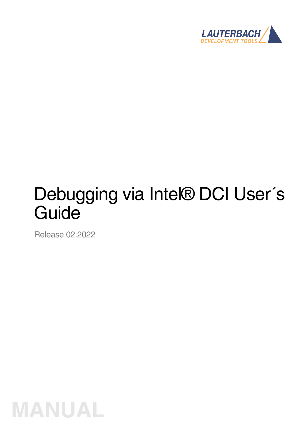

# Debugging via Intel® DCI User's **Guide**

Release 02.2022

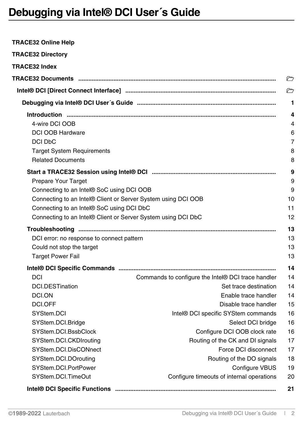<span id="page-1-0"></span>

| TRACE32 Online Help                                           |                                                    |    |
|---------------------------------------------------------------|----------------------------------------------------|----|
| <b>TRACE32 Directory</b>                                      |                                                    |    |
| <b>TRACE32 Index</b>                                          |                                                    |    |
|                                                               |                                                    | ▱  |
|                                                               |                                                    | r  |
|                                                               |                                                    | 1  |
|                                                               |                                                    | 4  |
| 4-wire DCI OOB                                                |                                                    | 4  |
| <b>DCI OOB Hardware</b>                                       |                                                    | 6  |
| DCI DbC                                                       |                                                    | 7  |
| <b>Target System Requirements</b>                             |                                                    | 8  |
| <b>Related Documents</b>                                      |                                                    | 8  |
|                                                               |                                                    | 9  |
| Prepare Your Target                                           |                                                    | 9  |
| Connecting to an Intel® SoC using DCI OOB                     |                                                    | 9  |
| Connecting to an Intel® Client or Server System using DCI OOB |                                                    | 10 |
| Connecting to an Intel® SoC using DCI DbC                     |                                                    | 11 |
| Connecting to an Intel® Client or Server System using DCI DbC |                                                    | 12 |
|                                                               |                                                    | 13 |
| DCI error: no response to connect pattern                     |                                                    | 13 |
| Could not stop the target                                     |                                                    | 13 |
| <b>Target Power Fail</b>                                      |                                                    | 13 |
|                                                               |                                                    | 14 |
| <b>DCI</b>                                                    | Commands to configure the Intel® DCI trace handler | 14 |
| <b>DCI.DESTination</b>                                        | Set trace destination                              | 14 |
| DCI.ON                                                        | Enable trace handler                               | 14 |
| DCI.OFF                                                       | Disable trace handler                              | 15 |
| SYStem.DCI                                                    | Intel® DCI specific SYStem commands                | 16 |
| SYStem.DCI.Bridge                                             | Select DCI bridge                                  | 16 |
| SYStem.DCI.BssbClock                                          | Configure DCI OOB clock rate                       | 16 |
| SYStem.DCI.CKDIrouting                                        | Routing of the CK and DI signals                   | 17 |
| SYStem.DCI.DisCONnect                                         | Force DCI disconnect                               | 17 |
| SYStem.DCI.DOrouting                                          | Routing of the DO signals                          | 18 |
| SYStem.DCI.PortPower                                          | <b>Configure VBUS</b>                              | 19 |
| SYStem.DCI.TimeOut                                            | Configure timeouts of internal operations          | 20 |
|                                                               |                                                    | 21 |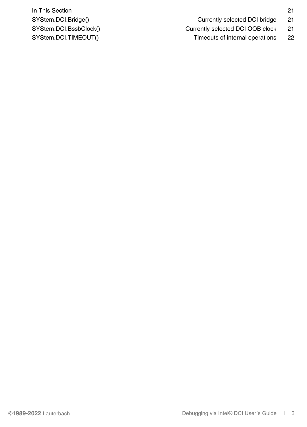**In This Section** 21 SYStem.DCI.Bridge() example 21 currently selected DCI bridge 21

SYStem.DCI.TIMEOUT() Timeouts of internal operations 22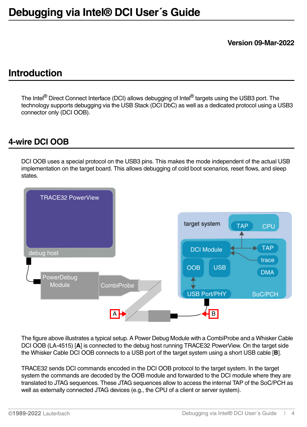**Version 09-Mar-2022**

# <span id="page-3-0"></span>**Introduction**

The Intel<sup>®</sup> Direct Connect Interface (DCI) allows debugging of Intel<sup>®</sup> targets using the USB3 port. The technology supports debugging via the USB Stack (DCI DbC) as well as a dedicated protocol using a USB3 connector only (DCI OOB).

### <span id="page-3-1"></span>**4-wire DCI OOB**

DCI OOB uses a special protocol on the USB3 pins. This makes the mode independent of the actual USB implementation on the target board. This allows debugging of cold boot scenarios, reset flows, and sleep states.



The figure above illustrates a typical setup. A Power Debug Module with a CombiProbe and a Whisker Cable DCI OOB (LA-4515) [**A**] is connected to the debug host running TRACE32 PowerView. On the target side the Whisker Cable DCI OOB connects to a USB port of the target system using a short USB cable [**B**].

TRACE32 sends DCI commands encoded in the DCI OOB protocol to the target system. In the target system the commands are decoded by the OOB module and forwarded to the DCI module where they are translated to JTAG sequences. These JTAG sequences allow to access the internal TAP of the SoC/PCH as well as externally connected JTAG devices (e.g., the CPU of a client or server system).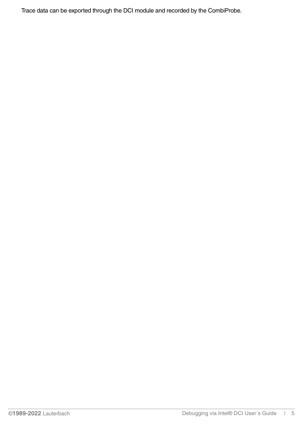Trace data can be exported through the DCI module and recorded by the CombiProbe.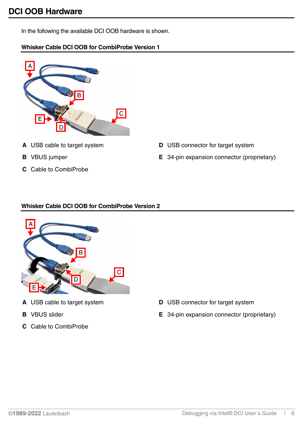<span id="page-5-0"></span>In the following the available DCI OOB hardware is shown.

### **Whisker Cable DCI OOB for CombiProbe Version 1**

- A B C E D
- 
- 
- **C** Cable to CombiProbe
- **A** USB cable to target system **D** USB connector for target system
- **B** VBUS jumper **E** 34-pin expansion connector (proprietary)

### <span id="page-5-1"></span>**Whisker Cable DCI OOB for CombiProbe Version 2**



- 
- 
- **C** Cable to CombiProbe
- **A** USB cable to target system **D** USB connector for target system
- **B** VBUS slider **E** 34-pin expansion connector (proprietary)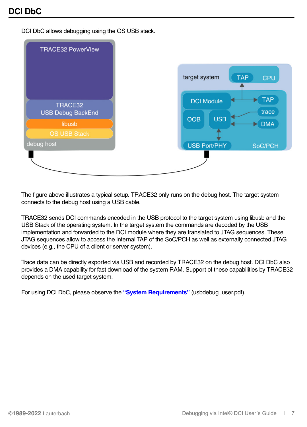<span id="page-6-0"></span>DCI DbC allows debugging using the OS USB stack.

| <b>TRACE32 PowerView</b>            |                                           |
|-------------------------------------|-------------------------------------------|
|                                     | target system<br><b>TAP</b><br><b>CPU</b> |
| TRACE32<br><b>USB Debug BackEnd</b> | <b>TAP</b><br><b>DCI Module</b><br>trace  |
| libusb                              | <b>USB</b><br><b>OOB</b><br><b>DMA</b>    |
| <b>OS USB Stack</b>                 |                                           |
| debug host                          | <b>USB Port/PHY</b><br>SoC/PCH            |
|                                     |                                           |
|                                     |                                           |

The figure above illustrates a typical setup. TRACE32 only runs on the debug host. The target system connects to the debug host using a USB cable.

TRACE32 sends DCI commands encoded in the USB protocol to the target system using libusb and the USB Stack of the operating system. In the target system the commands are decoded by the USB implementation and forwarded to the DCI module where they are translated to JTAG sequences. These JTAG sequences allow to access the internal TAP of the SoC/PCH as well as externally connected JTAG devices (e.g., the CPU of a client or server system).

Trace data can be directly exported via USB and recorded by TRACE32 on the debug host. DCI DbC also provides a DMA capability for fast download of the system RAM. Support of these capabilities by TRACE32 depends on the used target system.

For using DCI DbC, please observe the **"System Requirements"** (usbdebug\_user.pdf).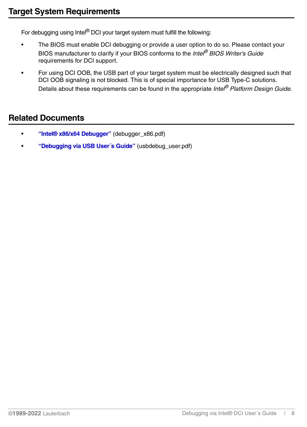<span id="page-7-0"></span>For debugging using Intel<sup>®</sup> DCI your target system must fulfill the following:

- The BIOS must enable DCI debugging or provide a user option to do so. Please contact your BIOS manufacturer to clarify if your BIOS conforms to the *Intel® BIOS Writer's Guide* requirements for DCI support.
- For using DCI OOB, the USB part of your target system must be electrically designed such that DCI OOB signaling is not blocked. This is of special importance for USB Type-C solutions. Details about these requirements can be found in the appropriate *Intel® Platform Design Guide.*

### <span id="page-7-1"></span>**Related Documents**

- **["Intel® x86/x64 Debugger"](#page-1-0)** (debugger\_x86.pdf)
- **["Debugging via USB User´s Guide"](#page-1-0)** (usbdebug\_user.pdf)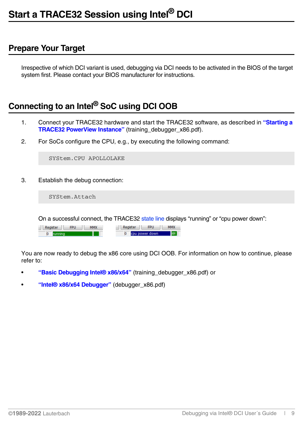### <span id="page-8-1"></span><span id="page-8-0"></span>**Prepare Your Target**

Irrespective of which DCI variant is used, debugging via DCI needs to be activated in the BIOS of the target system first. Please contact your BIOS manufacturer for instructions.

# <span id="page-8-2"></span>**Connecting to an Intel® SoC using DCI OOB**

- 1. Connect your TRACE32 hardware and start the TRACE32 software, as described in **"Starting a TRACE32 PowerView Instance"** (training\_debugger\_x86.pdf).
- 2. For SoCs configure the CPU, e.g., by executing the following command:

SYStem.CPU APOLLOLAKE

3. Establish the debug connection:

SYStem.Attach

On a successful connect, the TRACE32 state line displays "running" or "cpu power down":

| MMX<br>FPU<br>Register | FPI.<br>agister | ММХ |
|------------------------|-----------------|-----|
| υ                      | cpu power down  | .   |

You are now ready to debug the x86 core using DCI OOB. For information on how to continue, please refer to:

- **["Basic Debugging Intel® x86/x64"](#page-1-0)** (training\_debugger\_x86.pdf) or
- **["Intel® x86/x64 Debugger"](#page-1-0)** (debugger\_x86.pdf)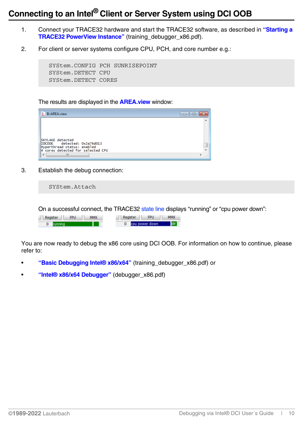# <span id="page-9-0"></span>**Connecting to an Intel® Client or Server System using DCI OOB**

- 1. Connect your TRACE32 hardware and start the TRACE32 software, as described in **"Starting a TRACE32 PowerView Instance"** (training\_debugger\_x86.pdf).
- 2. For client or server systems configure CPU, PCH, and core number e.g.:

SYStem.CONFIG PCH SUNRISEPOINT SYStem.DETECT CPU SYStem.DETECT CORES

The results are displayed in the **AREA.view** window:



3. Establish the debug connection:

SYStem.Attach

On a successful connect, the TRACE32 state line displays "running" or "cpu power down":

| <b>FPU</b><br><b>MMW</b> | <b>CDL</b><br><b>ster</b> |  |
|--------------------------|---------------------------|--|
|                          | cpu power down            |  |

You are now ready to debug the x86 core using DCI OOB. For information on how to continue, please refer to:

- **["Basic Debugging Intel® x86/x64"](#page-1-0)** (training\_debugger\_x86.pdf) or
- **["Intel® x86/x64 Debugger"](#page-1-0)** (debugger\_x86.pdf)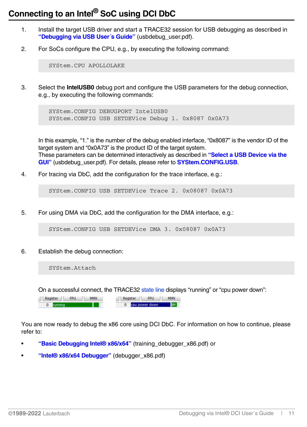# <span id="page-10-0"></span>**Connecting to an Intel® SoC using DCI DbC**

- 1. Install the target USB driver and start a TRACE32 session for USB debugging as described in **["Debugging via USB User´s Guide"](#page-1-0)** (usbdebug\_user.pdf).
- 2. For SoCs configure the CPU, e.g., by executing the following command:

SYStem.CPU APOLLOLAKE

3. Select the **IntelUSB0** debug port and configure the USB parameters for the debug connection, e.g., by executing the following commands:

SYStem.CONFIG DEBUGPORT IntelUSB0 SYStem.CONFIG USB SETDEVice Debug 1. 0x8087 0x0A73

In this example, "1." is the number of the debug enabled interface, "0x8087" is the vendor ID of the target system and "0x0A73" is the product ID of the target system. These parameters can be determined interactively as described in **"Select a USB Device via the GUI"** (usbdebug\_user.pdf). For details, please refer to **SYStem.CONFIG.USB**.

4. For tracing via DbC, add the configuration for the trace interface, e.g.:

SYStem.CONFIG USB SETDEVice Trace 2. 0x08087 0x0A73

5. For using DMA via DbC, add the configuration for the DMA interface, e.g.:

SYStem.CONFIG USB SETDEVice DMA 3. 0x08087 0x0A73

6. Establish the debug connection:

SYStem.Attach

On a successful connect, the TRACE32 state line displays "running" or "cpu power down":



You are now ready to debug the x86 core using DCI DbC. For information on how to continue, please refer to:

- **["Basic Debugging Intel® x86/x64"](#page-1-0)** (training debugger x86.pdf) or
- **["Intel® x86/x64 Debugger"](#page-1-0)** (debugger\_x86.pdf)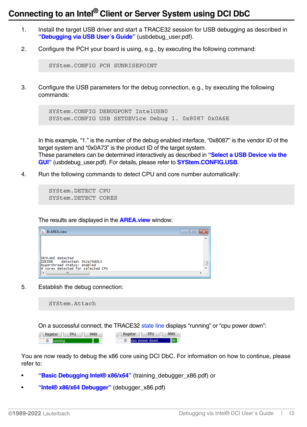## <span id="page-11-0"></span>**Connecting to an Intel® Client or Server System using DCI DbC**

- 1. Install the target USB driver and start a TRACE32 session for USB debugging as described in **["Debugging via USB User´s Guide"](#page-1-0)** (usbdebug\_user.pdf).
- 2. Configure the PCH your board is using, e.g., by executing the following command:

SYStem.CONFIG PCH SUNRISEPOINT

3. Configure the USB parameters for the debug connection, e.g., by executing the following commands:

```
SYStem.CONFIG DEBUGPORT IntelUSB0
SYStem.CONFIG USB SETDEVice Debug 1. 0x8087 0x0A6E
```
In this example, "1." is the number of the debug enabled interface, "0x8087" is the vendor ID of the target system and "0x0A73" is the product ID of the target system. These parameters can be determined interactively as described in **"Select a USB Device via the GUI"** (usbdebug\_user.pdf). For details, please refer to **SYStem.CONFIG.USB**.

4. Run the following commands to detect CPU and core number automatically:

```
SYStem.DETECT CPU
SYStem.DETECT CORES
```
The results are displayed in the **AREA.view** window:

| E<br><b>B::AREA.view</b>                                         | $\equiv$ |
|------------------------------------------------------------------|----------|
|                                                                  |          |
|                                                                  |          |
|                                                                  |          |
| SKYLAKE detected                                                 |          |
| IDCODE detected: 0x2a76d013                                      |          |
| Hyperthread status: enabled<br>4 cores detected for selected CPU |          |
| ш<br>∢                                                           |          |

5. Establish the debug connection:

SYStem.Attach

On a successful connect, the TRACE32 state line displays "running" or "cpu power down":

| <b>BARANZ</b><br><b>COLL</b> | <b>MMV</b><br>EDI.<br>тгал |
|------------------------------|----------------------------|
| $\overline{0}$               | cpu power down             |

You are now ready to debug the x86 core using DCI DbC. For information on how to continue, please refer to:

- **["Basic Debugging Intel® x86/x64"](#page-1-0)** (training\_debugger\_x86.pdf) or
- **["Intel® x86/x64 Debugger"](#page-1-0)** (debugger\_x86.pdf)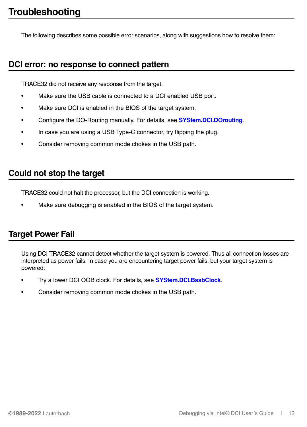<span id="page-12-0"></span>The following describes some possible error scenarios, along with suggestions how to resolve them:

### <span id="page-12-1"></span>**DCI error: no response to connect pattern**

TRACE32 did not receive any response from the target.

- Make sure the USB cable is connected to a DCI enabled USB port.
- Make sure DCI is enabled in the BIOS of the target system.
- Configure the DO-Routing manually. For details, see **[SYStem.DCI.DOrouting](#page-17-0)**.
- In case you are using a USB Type-C connector, try flipping the plug.
- Consider removing common mode chokes in the USB path.

### <span id="page-12-2"></span>**Could not stop the target**

TRACE32 could not halt the processor, but the DCI connection is working.

Make sure debugging is enabled in the BIOS of the target system.

### <span id="page-12-3"></span>**Target Power Fail**

Using DCI TRACE32 cannot detect whether the target system is powered. Thus all connection losses are interpreted as power fails. In case you are encountering target power fails, but your target system is powered:

- Try a lower DCI OOB clock. For details, see **[SYStem.DCI.BssbClock](#page-15-2)**.
- Consider removing common mode chokes in the USB path.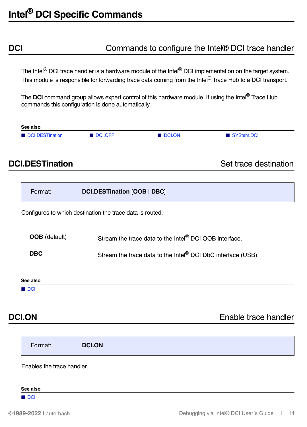### <span id="page-13-1"></span><span id="page-13-0"></span>**DCI DCI** Commands to configure the Intel® DCI trace handler

The Intel<sup>®</sup> DCI trace handler is a hardware module of the Intel<sup>®</sup> DCI implementation on the target system. This module is responsible for forwarding trace data coming from the Intel<sup>®</sup> Trace Hub to a DCI transport.

The **DCI** command group allows expert control of this hardware module. If using the Intel® Trace Hub commands this configuration is done automatically.



<span id="page-13-2"></span>**DCI.DESTination** Set trace destination

<span id="page-13-3"></span>

| Format:                    | DCI.DESTination [OOB   DBC]                                              |
|----------------------------|--------------------------------------------------------------------------|
|                            | Configures to which destination the trace data is routed.                |
| <b>OOB</b> (default)       | Stream the trace data to the Intel® DCI OOB interface.                   |
| <b>DBC</b>                 | Stream the trace data to the Intel <sup>®</sup> DCI DbC interface (USB). |
| See also                   |                                                                          |
| $\blacksquare$ DCI         |                                                                          |
| <b>DCI.ON</b>              | Enable trace handler                                                     |
| Format:                    | <b>DCI.ON</b>                                                            |
| Enables the trace handler. |                                                                          |
| See also                   |                                                                          |
| DCI                        |                                                                          |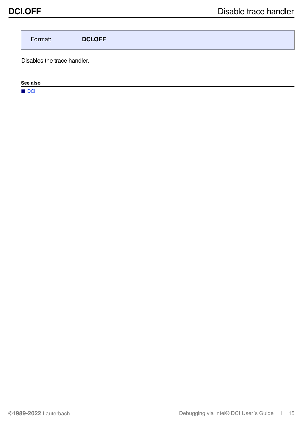<span id="page-14-0"></span>Format: **DCI.OFF**

Disables the trace handler.

**See also**

■ DCI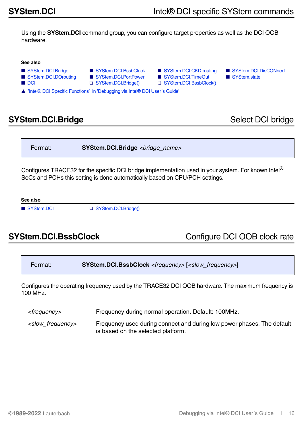<span id="page-15-0"></span>Using the **SYStem.DCI** command group, you can configure target properties as well as the DCI OOB hardware.

|  | ee also |
|--|---------|
|--|---------|

- 
- 
- 
- 
- [SYStem.DCI.DOrouting](#page-17-0) [SYStem.DCI.PortPower](#page-18-0)  [SYStem.DCI.TimeOut](#page-19-0)  SYStem.state ■ [DCI](#page-13-1) ❏ [SYStem.DCI.Bridge\(\)](#page-20-4) ❏ [SYStem.DCI.BssbClock\(\)](#page-20-5)
- [SYStem.DCI.Bridge](#page-15-1)  [SYStem.DCI.BssbClock](#page-15-2)  [SYStem.DCI.CKDIrouting](#page-16-0)  [SYStem.DCI.DisCONnect](#page-16-1)

▲ 'Intel® DCI Specific Functions' in 'Debugging via Intel® DCI User's Guide'

# <span id="page-15-1"></span>**SYStem.DCI.Bridge** Select DCI bridge

Format: **SYStem.DCI.Bridge** *<bridge\_name>*

Configures TRACE32 for the specific DCI bridge implementation used in your system. For known Intel® SoCs and PCHs this setting is done automatically based on CPU/PCH settings.

**See also**

■ [SYStem.DCI](#page-15-0) □ SYStem.DCI.Bridge()

<span id="page-15-2"></span>**SYStem.DCI.BssbClock** Configure DCI OOB clock rate

```
Format: SYStem.DCI.BssbClock <frequency> [<slow_frequency>]
```
Configures the operating frequency used by the TRACE32 DCI OOB hardware. The maximum frequency is 100 MHz.

*<frequency>* Frequency during normal operation. Default: 100MHz.

*<slow\_frequency>* Frequency used during connect and during low power phases. The default is based on the selected platform.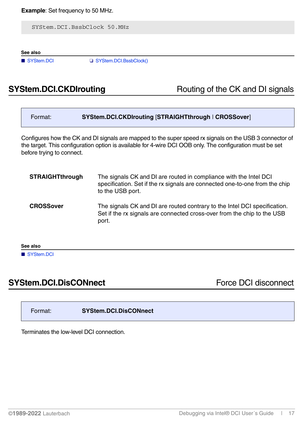SYStem.DCI.BssbClock 50.MHz

**See also**

■ [SYStem.DCI](#page-15-0) □ SYStem.DCI.BssbClock()

# <span id="page-16-0"></span>**SYStem.DCI.CKDIrouting** Routing Routing of the CK and DI signals

| Format:                                                                                                                                                                                                                                           | SYStem.DCI.CKDIrouting [STRAIGHTthrough   CROSSover]                                                                                                                 |  |
|---------------------------------------------------------------------------------------------------------------------------------------------------------------------------------------------------------------------------------------------------|----------------------------------------------------------------------------------------------------------------------------------------------------------------------|--|
| Configures how the CK and DI signals are mapped to the super speed rx signals on the USB 3 connector of<br>the target. This configuration option is available for 4-wire DCI OOB only. The configuration must be set<br>before trying to connect. |                                                                                                                                                                      |  |
| <b>STRAIGHTthrough</b>                                                                                                                                                                                                                            | The signals CK and DI are routed in compliance with the Intel DCI<br>specification. Set if the rx signals are connected one-to-one from the chip<br>to the USB port. |  |
| <b>CROSSover</b>                                                                                                                                                                                                                                  | The signals CK and DI are routed contrary to the Intel DCI specification.<br>Set if the rx signals are connected cross-over from the chip to the USB<br>port.        |  |
| See also                                                                                                                                                                                                                                          |                                                                                                                                                                      |  |

■ [SYStem.DCI](#page-15-0)

# <span id="page-16-1"></span>**SYStem.DCI.DisCONnect Force DCI disconnect**

Format: **SYStem.DCI.DisCONnect**

Terminates the low-level DCI connection.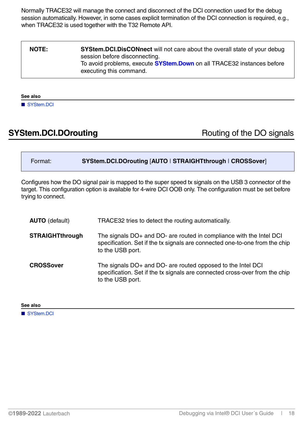Normally TRACE32 will manage the connect and disconnect of the DCI connection used for the debug session automatically. However, in some cases explicit termination of the DCI connection is required, e.g., when TRACE32 is used together with the T32 Remote API.

| <b>NOTE:</b> | <b>SYStem.DCI.DisCONnect</b> will not care about the overall state of your debug<br>session before disconnecting. |
|--------------|-------------------------------------------------------------------------------------------------------------------|
|              | To avoid problems, execute <b>SYStem.Down</b> on all TRACE32 instances before<br>executing this command.          |

### **See also**

■ [SYStem.DCI](#page-15-0)

### <span id="page-17-0"></span>**SYStem.DCI.DOrouting** Routing Routing of the DO signals

| Format: | SYStem.DCI.DOrouting [AUTO   STRAIGHTthrough   CROSSover] |
|---------|-----------------------------------------------------------|
|         |                                                           |

Configures how the DO signal pair is mapped to the super speed tx signals on the USB 3 connector of the target. This configuration option is available for 4-wire DCI OOB only. The configuration must be set before trying to connect.

| <b>AUTO</b> (default)  | TRACE32 tries to detect the routing automatically.                                                                                                                     |
|------------------------|------------------------------------------------------------------------------------------------------------------------------------------------------------------------|
| <b>STRAIGHTthrough</b> | The signals DO+ and DO- are routed in compliance with the Intel DCI<br>specification. Set if the tx signals are connected one-to-one from the chip<br>to the USB port. |
| <b>CROSSover</b>       | The signals DO+ and DO- are routed opposed to the Intel DCI<br>specification. Set if the tx signals are connected cross-over from the chip<br>to the USB port.         |

**See also**

■ [SYStem.DCI](#page-15-0)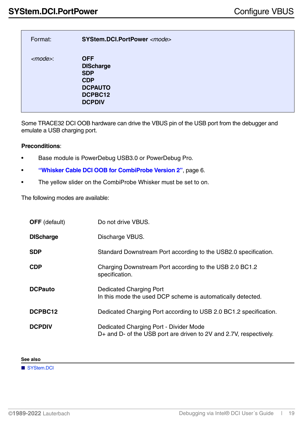<span id="page-18-0"></span>

| Format:        | SYStem.DCI.PortPower <mode></mode>                                                                       |
|----------------|----------------------------------------------------------------------------------------------------------|
| $<$ mode $>$ : | <b>OFF</b><br><b>DIScharge</b><br><b>SDP</b><br><b>CDP</b><br><b>DCPAUTO</b><br>DCPBC12<br><b>DCPDIV</b> |

Some TRACE32 DCI OOB hardware can drive the VBUS pin of the USB port from the debugger and emulate a USB charging port.

### **Preconditions**:

- Base module is PowerDebug USB3.0 or PowerDebug Pro.
- **["Whisker Cable DCI OOB for CombiProbe Version 2"](#page-5-1)**, page 6.
- The yellow slider on the CombiProbe Whisker must be set to on.

The following modes are available:

| <b>OFF</b> (default) | Do not drive VBUS.                                                                                           |
|----------------------|--------------------------------------------------------------------------------------------------------------|
| <b>DIScharge</b>     | Discharge VBUS.                                                                                              |
| <b>SDP</b>           | Standard Downstream Port according to the USB2.0 specification.                                              |
| <b>CDP</b>           | Charging Downstream Port according to the USB 2.0 BC1.2<br>specification.                                    |
| <b>DCPauto</b>       | Dedicated Charging Port<br>In this mode the used DCP scheme is automatically detected.                       |
| DCPBC12              | Dedicated Charging Port according to USB 2.0 BC1.2 specification.                                            |
| <b>DCPDIV</b>        | Dedicated Charging Port - Divider Mode<br>D+ and D- of the USB port are driven to 2V and 2.7V, respectively. |

### **See also**

■ [SYStem.DCI](#page-15-0)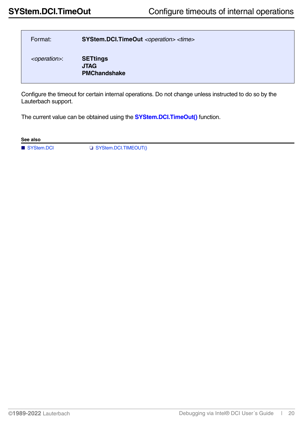<span id="page-19-0"></span>

| Format:                  | SYStem.DCI.TimeOut <operation> <time></time></operation> |
|--------------------------|----------------------------------------------------------|
| <operation>:</operation> | <b>SETtings</b><br><b>JTAG</b><br><b>PMChandshake</b>    |

Configure the timeout for certain internal operations. Do not change unless instructed to do so by the Lauterbach support.

The current value can be obtained using the **[SYStem.DCI.TimeOut\(\)](#page-21-1)** function.

**See also**

■ [SYStem.DCI](#page-15-0) ❏ [SYStem.DCI.TIMEOUT\(\)](#page-21-1)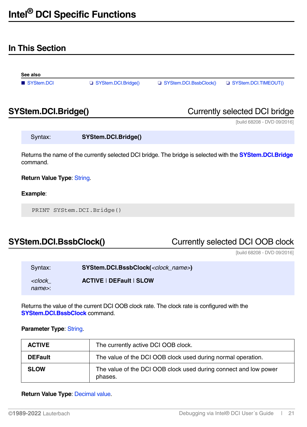### <span id="page-20-1"></span><span id="page-20-0"></span>**In This Section**

<span id="page-20-6"></span>

| See also                                                                 |                     |                        |                                                            |
|--------------------------------------------------------------------------|---------------------|------------------------|------------------------------------------------------------|
| SYStem.DCI                                                               | SYStem.DCI.Bridge() | SYStem.DCI.BssbClock() | SYStem.DCI.TIMEOUT()                                       |
| $V \cap L_{\text{max}}$ $\cap$ $\cap$ $\cap$ $\cup$ $\cup$ $\cup$ $\cap$ |                     |                        | $\Omega$ constantly and a stand $\Gamma$ $\Omega$ but deep |

<span id="page-20-2"></span>**SYStem.DCI.Bridge()** Currently selected DCI bridge

[build 68208 - DVD 09/2016]

<span id="page-20-4"></span>

| Syntax: | SYStem.DCI.Bridge() |
|---------|---------------------|
|         |                     |

Returns the name of the currently selected DCI bridge. The bridge is selected with the **[SYStem.DCI.Bridge](#page-15-1)** command.

### **Return Value Type**: String.

### **Example**:

PRINT SYStem.DCI.Bridge()

# <span id="page-20-3"></span>**SYStem.DCI.BssbClock()** Currently selected DCI OOB clock

[build 68208 - DVD 09/2016]

<span id="page-20-5"></span>

| Syntax:                                                        | SYStem.DCI.BssbClock( <clock_name>)</clock_name> |  |
|----------------------------------------------------------------|--------------------------------------------------|--|
| <clock< th=""><th><b>ACTIVE   DEFault   SLOW</b></th></clock<> | <b>ACTIVE   DEFault   SLOW</b>                   |  |
| name>:                                                         |                                                  |  |

Returns the value of the current DCI OOB clock rate. The clock rate is configured with the **[SYStem.DCI.BssbClock](#page-15-2)** command.

### **Parameter Type: String.**

| <b>ACTIVE</b>  | The currently active DCI OOB clock.                                         |
|----------------|-----------------------------------------------------------------------------|
| <b>DEFault</b> | The value of the DCI OOB clock used during normal operation.                |
| <b>SLOW</b>    | The value of the DCI OOB clock used during connect and low power<br>phases. |

### **Return Value Type**: Decimal value.